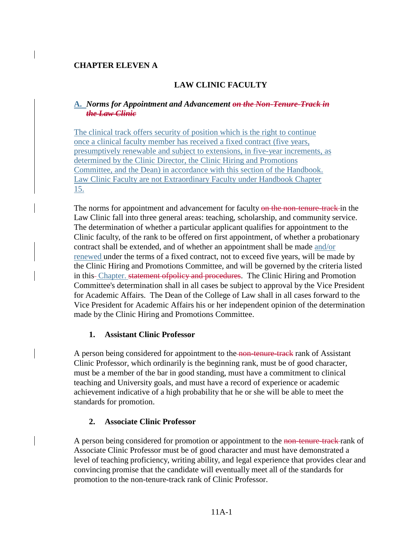## **CHAPTER ELEVEN A**

# **LAW CLINIC FACULTY**

#### **A.** *Norms for Appointment and Advancement on the Non-Tenure-Track in the Law Clinic*

The clinical track offers security of position which is the right to continue once a clinical faculty member has received a fixed contract (five years, presumptively renewable and subject to extensions, in five-year increments, as determined by the Clinic Director, the Clinic Hiring and Promotions Committee, and the Dean) in accordance with this section of the Handbook. Law Clinic Faculty are not Extraordinary Faculty under Handbook Chapter 15.

The norms for appointment and advancement for faculty on the non-tenure-track in the Law Clinic fall into three general areas: teaching, scholarship, and community service. The determination of whether a particular applicant qualifies for appointment to the Clinic faculty, of the rank to be offered on first appointment, of whether a probationary contract shall be extended, and of whether an appointment shall be made and/or renewed under the terms of a fixed contract, not to exceed five years, will be made by the Clinic Hiring and Promotions Committee, and will be governed by the criteria listed in this-Chapter. statement of policy and procedures. The Clinic Hiring and Promotion Committee's determination shall in all cases be subject to approval by the Vice President for Academic Affairs. The Dean of the College of Law shall in all cases forward to the Vice President for Academic Affairs his or her independent opinion of the determination made by the Clinic Hiring and Promotions Committee.

### **1. Assistant Clinic Professor**

A person being considered for appointment to the non-tenure-track rank of Assistant Clinic Professor, which ordinarily is the beginning rank, must be of good character, must be a member of the bar in good standing, must have a commitment to clinical teaching and University goals, and must have a record of experience or academic achievement indicative of a high probability that he or she will be able to meet the standards for promotion.

### **2. Associate Clinic Professor**

A person being considered for promotion or appointment to the non-tenure-track rank of Associate Clinic Professor must be of good character and must have demonstrated a level of teaching proficiency, writing ability, and legal experience that provides clear and convincing promise that the candidate will eventually meet all of the standards for promotion to the non-tenure-track rank of Clinic Professor.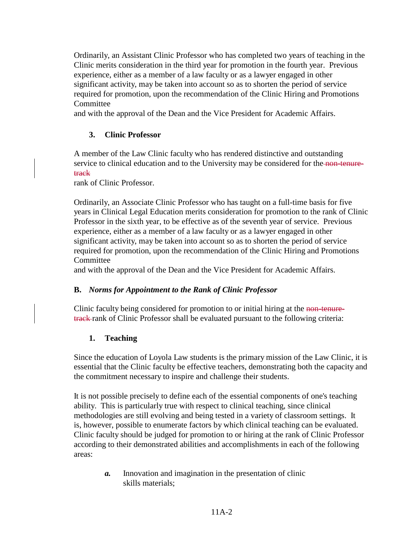Ordinarily, an Assistant Clinic Professor who has completed two years of teaching in the Clinic merits consideration in the third year for promotion in the fourth year. Previous experience, either as a member of a law faculty or as a lawyer engaged in other significant activity, may be taken into account so as to shorten the period of service required for promotion, upon the recommendation of the Clinic Hiring and Promotions **Committee** 

and with the approval of the Dean and the Vice President for Academic Affairs.

# **3. Clinic Professor**

A member of the Law Clinic faculty who has rendered distinctive and outstanding service to clinical education and to the University may be considered for the non-tenuretrack

rank of Clinic Professor.

Ordinarily, an Associate Clinic Professor who has taught on a full-time basis for five years in Clinical Legal Education merits consideration for promotion to the rank of Clinic Professor in the sixth year, to be effective as of the seventh year of service. Previous experience, either as a member of a law faculty or as a lawyer engaged in other significant activity, may be taken into account so as to shorten the period of service required for promotion, upon the recommendation of the Clinic Hiring and Promotions Committee

and with the approval of the Dean and the Vice President for Academic Affairs.

# **B.** *Norms for Appointment to the Rank of Clinic Professor*

Clinic faculty being considered for promotion to or initial hiring at the non-tenuretrack rank of Clinic Professor shall be evaluated pursuant to the following criteria:

# **1. Teaching**

Since the education of Loyola Law students is the primary mission of the Law Clinic, it is essential that the Clinic faculty be effective teachers, demonstrating both the capacity and the commitment necessary to inspire and challenge their students.

It is not possible precisely to define each of the essential components of one's teaching ability. This is particularly true with respect to clinical teaching, since clinical methodologies are still evolving and being tested in a variety of classroom settings. It is, however, possible to enumerate factors by which clinical teaching can be evaluated. Clinic faculty should be judged for promotion to or hiring at the rank of Clinic Professor according to their demonstrated abilities and accomplishments in each of the following areas:

> *a.* Innovation and imagination in the presentation of clinic skills materials;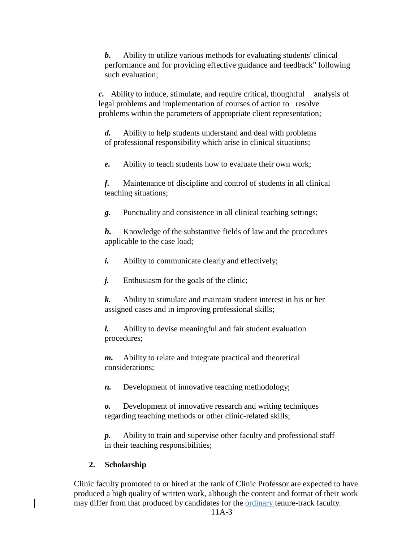*b.* Ability to utilize various methods for evaluating students' clinical performance and for providing effective guidance and feedback" following such evaluation;

*c.* Ability to induce, stimulate, and require critical, thoughtful analysis of legal problems and implementation of courses of action to resolve problems within the parameters of appropriate client representation;

*d.* Ability to help students understand and deal with problems of professional responsibility which arise in clinical situations;

*e.* Ability to teach students how to evaluate their own work;

*f.* Maintenance of discipline and control of students in all clinical teaching situations;

*g.* Punctuality and consistence in all clinical teaching settings;

*h.* Knowledge of the substantive fields of law and the procedures applicable to the case load;

- *i.* Ability to communicate clearly and effectively;
- *j.* Enthusiasm for the goals of the clinic;
- *k.* Ability to stimulate and maintain student interest in his or her assigned cases and in improving professional skills;

*l.* Ability to devise meaningful and fair student evaluation procedures;

*m.* Ability to relate and integrate practical and theoretical considerations;

*n.* Development of innovative teaching methodology;

*o.* Development of innovative research and writing techniques regarding teaching methods or other clinic-related skills;

*p.* Ability to train and supervise other faculty and professional staff in their teaching responsibilities;

# **2. Scholarship**

Clinic faculty promoted to or hired at the rank of Clinic Professor are expected to have produced a high quality of written work, although the content and format of their work may differ from that produced by candidates for the **ordinary** tenure-track faculty.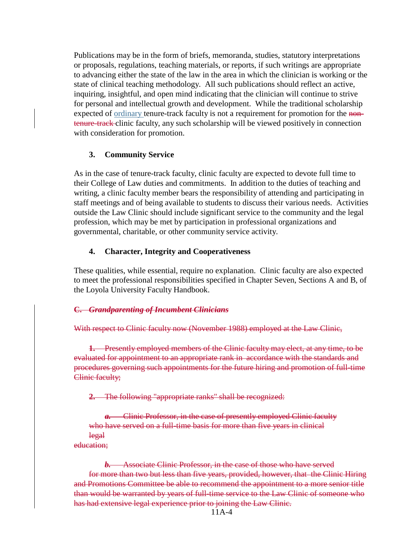Publications may be in the form of briefs, memoranda, studies, statutory interpretations or proposals, regulations, teaching materials, or reports, if such writings are appropriate to advancing either the state of the law in the area in which the clinician is working or the state of clinical teaching methodology. All such publications should reflect an active, inquiring, insightful, and open mind indicating that the clinician will continue to strive for personal and intellectual growth and development. While the traditional scholarship expected of ordinary tenure-track faculty is not a requirement for promotion for the nontenure-track clinic faculty, any such scholarship will be viewed positively in connection with consideration for promotion.

#### **3. Community Service**

As in the case of tenure-track faculty, clinic faculty are expected to devote full time to their College of Law duties and commitments. In addition to the duties of teaching and writing, a clinic faculty member bears the responsibility of attending and participating in staff meetings and of being available to students to discuss their various needs. Activities outside the Law Clinic should include significant service to the community and the legal profession, which may be met by participation in professional organizations and governmental, charitable, or other community service activity.

#### **4. Character, Integrity and Cooperativeness**

These qualities, while essential, require no explanation. Clinic faculty are also expected to meet the professional responsibilities specified in Chapter Seven, Sections A and B, of the Loyola University Faculty Handbook.

#### **C.** *Grandparenting of Incumbent Clinicians*

#### With respect to Clinic faculty now (November 1988) employed at the Law Clinic,

**1.** Presently employed members of the Clinic faculty may elect, at any time, to be evaluated for appointment to an appropriate rank in accordance with the standards and procedures governing such appointments for the future hiring and promotion of full-time Clinic faculty;

**2.** The following "appropriate ranks" shall be recognized:

*a.* Clinic Professor, in the case of presently employed Clinic faculty who have served on a full-time basis for more than five years in clinical legal

education;

*b.* Associate Clinic Professor, in the case of those who have served for more than two but less than five years, provided, however, that the Clinic Hiring and Promotions Committee be able to recommend the appointment to a more senior title than would be warranted by years of full-time service to the Law Clinic of someone who has had extensive legal experience prior to joining the Law Clinic.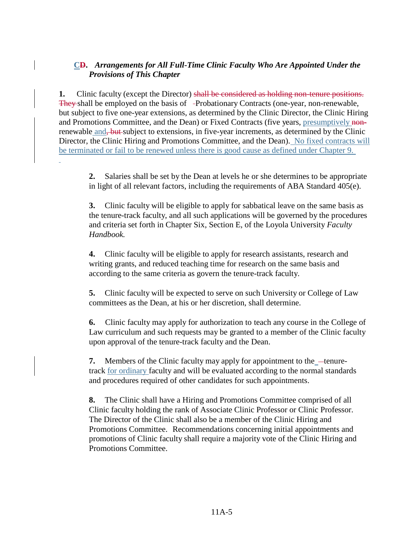## **CD.** *Arrangements for All Full-Time Clinic Faculty Who Are Appointed Under the Provisions of This Chapter*

**1.** Clinic faculty (except the Director) shall be considered as holding non-tenure positions. They shall be employed on the basis of -Probationary Contracts (one-year, non-renewable, but subject to five one-year extensions, as determined by the Clinic Director, the Clinic Hiring and Promotions Committee, and the Dean) or Fixed Contracts (five years, presumptively nonrenewable and, but subject to extensions, in five-year increments, as determined by the Clinic Director, the Clinic Hiring and Promotions Committee, and the Dean). No fixed contracts will be terminated or fail to be renewed unless there is good cause as defined under Chapter 9.

**2.** Salaries shall be set by the Dean at levels he or she determines to be appropriate in light of all relevant factors, including the requirements of ABA Standard 405(e).

**3.** Clinic faculty will be eligible to apply for sabbatical leave on the same basis as the tenure-track faculty, and all such applications will be governed by the procedures and criteria set forth in Chapter Six, Section E, of the Loyola University *Faculty Handbook.*

**4.** Clinic faculty will be eligible to apply for research assistants, research and writing grants, and reduced teaching time for research on the same basis and according to the same criteria as govern the tenure-track faculty.

**5.** Clinic faculty will be expected to serve on such University or College of Law committees as the Dean, at his or her discretion, shall determine.

**6.** Clinic faculty may apply for authorization to teach any course in the College of Law curriculum and such requests may be granted to a member of the Clinic faculty upon approval of the tenure-track faculty and the Dean.

**7.** Members of the Clinic faculty may apply for appointment to the <u>tenure-</u> track for ordinary faculty and will be evaluated according to the normal standards and procedures required of other candidates for such appointments.

**8.** The Clinic shall have a Hiring and Promotions Committee comprised of all Clinic faculty holding the rank of Associate Clinic Professor or Clinic Professor. The Director of the Clinic shall also be a member of the Clinic Hiring and Promotions Committee. Recommendations concerning initial appointments and promotions of Clinic faculty shall require a majority vote of the Clinic Hiring and Promotions Committee.